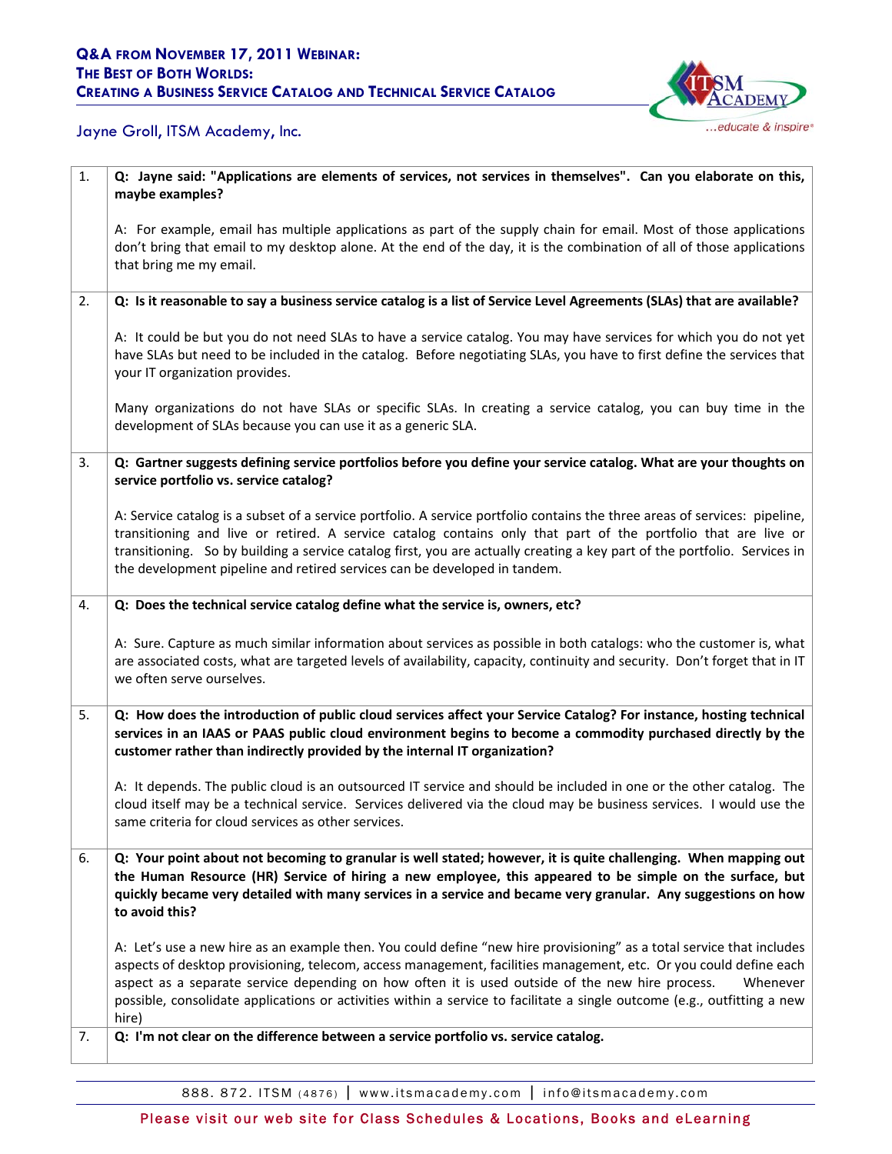

## Jayne Groll, ITSM Academy, Inc.

| 1. | Q: Jayne said: "Applications are elements of services, not services in themselves". Can you elaborate on this,<br>maybe examples?                                                                                                                                                                                                                                                                                                                                                              |
|----|------------------------------------------------------------------------------------------------------------------------------------------------------------------------------------------------------------------------------------------------------------------------------------------------------------------------------------------------------------------------------------------------------------------------------------------------------------------------------------------------|
|    | A: For example, email has multiple applications as part of the supply chain for email. Most of those applications<br>don't bring that email to my desktop alone. At the end of the day, it is the combination of all of those applications<br>that bring me my email.                                                                                                                                                                                                                          |
| 2. | Q: Is it reasonable to say a business service catalog is a list of Service Level Agreements (SLAs) that are available?                                                                                                                                                                                                                                                                                                                                                                         |
|    | A: It could be but you do not need SLAs to have a service catalog. You may have services for which you do not yet<br>have SLAs but need to be included in the catalog. Before negotiating SLAs, you have to first define the services that<br>your IT organization provides.                                                                                                                                                                                                                   |
|    | Many organizations do not have SLAs or specific SLAs. In creating a service catalog, you can buy time in the<br>development of SLAs because you can use it as a generic SLA.                                                                                                                                                                                                                                                                                                                   |
| 3. | Q: Gartner suggests defining service portfolios before you define your service catalog. What are your thoughts on<br>service portfolio vs. service catalog?                                                                                                                                                                                                                                                                                                                                    |
|    | A: Service catalog is a subset of a service portfolio. A service portfolio contains the three areas of services: pipeline,<br>transitioning and live or retired. A service catalog contains only that part of the portfolio that are live or<br>transitioning. So by building a service catalog first, you are actually creating a key part of the portfolio. Services in<br>the development pipeline and retired services can be developed in tandem.                                         |
| 4. | Q: Does the technical service catalog define what the service is, owners, etc?                                                                                                                                                                                                                                                                                                                                                                                                                 |
|    | A: Sure. Capture as much similar information about services as possible in both catalogs: who the customer is, what<br>are associated costs, what are targeted levels of availability, capacity, continuity and security. Don't forget that in IT<br>we often serve ourselves.                                                                                                                                                                                                                 |
| 5. | Q: How does the introduction of public cloud services affect your Service Catalog? For instance, hosting technical<br>services in an IAAS or PAAS public cloud environment begins to become a commodity purchased directly by the<br>customer rather than indirectly provided by the internal IT organization?                                                                                                                                                                                 |
|    | A: It depends. The public cloud is an outsourced IT service and should be included in one or the other catalog. The<br>cloud itself may be a technical service. Services delivered via the cloud may be business services. I would use the<br>same criteria for cloud services as other services.                                                                                                                                                                                              |
| 6. | Q: Your point about not becoming to granular is well stated; however, it is quite challenging. When mapping out<br>the Human Resource (HR) Service of hiring a new employee, this appeared to be simple on the surface, but<br>quickly became very detailed with many services in a service and became very granular. Any suggestions on how<br>to avoid this?                                                                                                                                 |
|    | A: Let's use a new hire as an example then. You could define "new hire provisioning" as a total service that includes<br>aspects of desktop provisioning, telecom, access management, facilities management, etc. Or you could define each<br>aspect as a separate service depending on how often it is used outside of the new hire process.<br>Whenever<br>possible, consolidate applications or activities within a service to facilitate a single outcome (e.g., outfitting a new<br>hire) |
| 7. | Q: I'm not clear on the difference between a service portfolio vs. service catalog.                                                                                                                                                                                                                                                                                                                                                                                                            |

888. 872. ITSM (4876) | www.itsmacademy.com | info@itsmacademy.com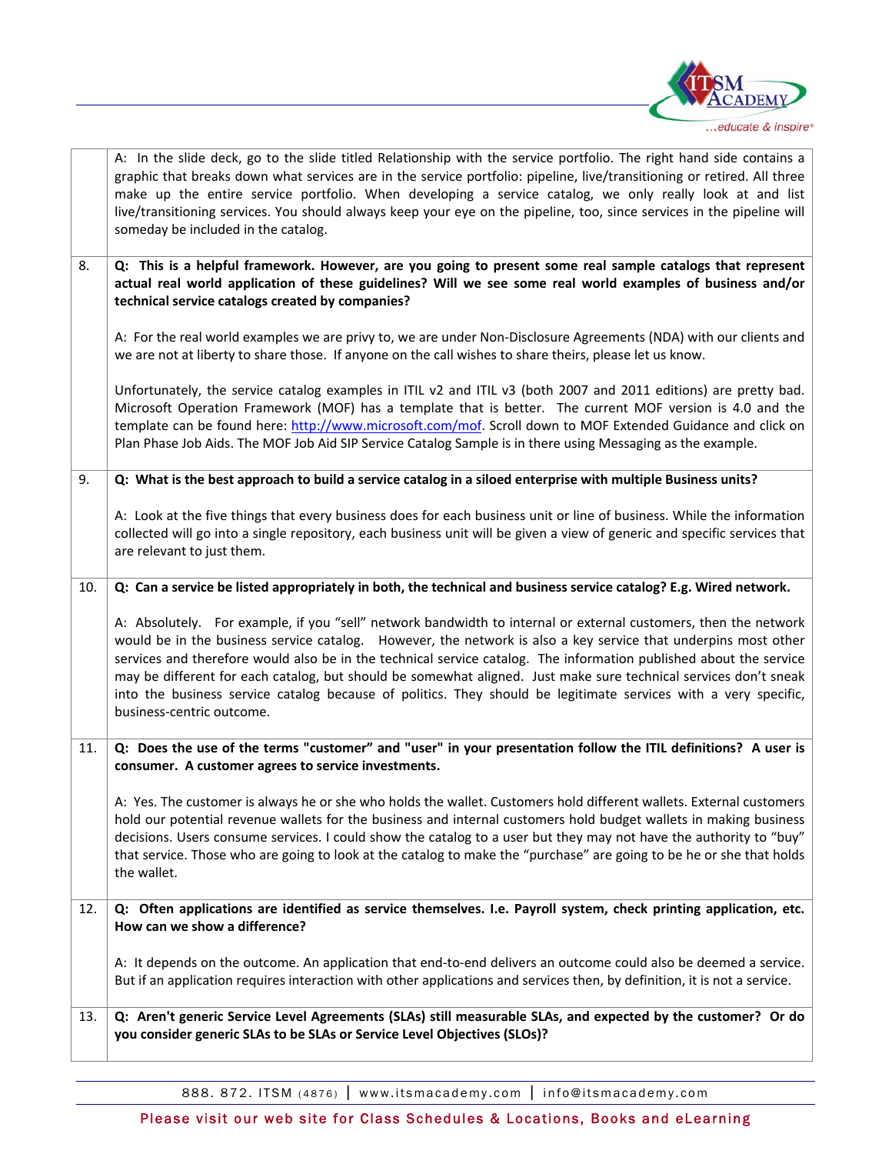

|     | A: In the slide deck, go to the slide titled Relationship with the service portfolio. The right hand side contains a<br>graphic that breaks down what services are in the service portfolio: pipeline, live/transitioning or retired. All three<br>make up the entire service portfolio. When developing a service catalog, we only really look at and list<br>live/transitioning services. You should always keep your eye on the pipeline, too, since services in the pipeline will<br>someday be included in the catalog.                                                                                                |
|-----|-----------------------------------------------------------------------------------------------------------------------------------------------------------------------------------------------------------------------------------------------------------------------------------------------------------------------------------------------------------------------------------------------------------------------------------------------------------------------------------------------------------------------------------------------------------------------------------------------------------------------------|
| 8.  | Q: This is a helpful framework. However, are you going to present some real sample catalogs that represent<br>actual real world application of these guidelines? Will we see some real world examples of business and/or<br>technical service catalogs created by companies?                                                                                                                                                                                                                                                                                                                                                |
|     | A: For the real world examples we are privy to, we are under Non-Disclosure Agreements (NDA) with our clients and<br>we are not at liberty to share those. If anyone on the call wishes to share theirs, please let us know.                                                                                                                                                                                                                                                                                                                                                                                                |
|     | Unfortunately, the service catalog examples in ITIL v2 and ITIL v3 (both 2007 and 2011 editions) are pretty bad.<br>Microsoft Operation Framework (MOF) has a template that is better. The current MOF version is 4.0 and the<br>template can be found here: http://www.microsoft.com/mof. Scroll down to MOF Extended Guidance and click on<br>Plan Phase Job Aids. The MOF Job Aid SIP Service Catalog Sample is in there using Messaging as the example.                                                                                                                                                                 |
| 9.  | Q: What is the best approach to build a service catalog in a siloed enterprise with multiple Business units?                                                                                                                                                                                                                                                                                                                                                                                                                                                                                                                |
|     | A: Look at the five things that every business does for each business unit or line of business. While the information<br>collected will go into a single repository, each business unit will be given a view of generic and specific services that<br>are relevant to just them.                                                                                                                                                                                                                                                                                                                                            |
| 10. | Q: Can a service be listed appropriately in both, the technical and business service catalog? E.g. Wired network.                                                                                                                                                                                                                                                                                                                                                                                                                                                                                                           |
|     | A: Absolutely. For example, if you "sell" network bandwidth to internal or external customers, then the network<br>would be in the business service catalog. However, the network is also a key service that underpins most other<br>services and therefore would also be in the technical service catalog. The information published about the service<br>may be different for each catalog, but should be somewhat aligned. Just make sure technical services don't sneak<br>into the business service catalog because of politics. They should be legitimate services with a very specific,<br>business-centric outcome. |
| 11. | Q: Does the use of the terms "customer" and "user" in your presentation follow the ITIL definitions? A user is<br>consumer. A customer agrees to service investments.                                                                                                                                                                                                                                                                                                                                                                                                                                                       |
|     | A: Yes. The customer is always he or she who holds the wallet. Customers hold different wallets. External customers<br>hold our potential revenue wallets for the business and internal customers hold budget wallets in making business<br>decisions. Users consume services. I could show the catalog to a user but they may not have the authority to "buy"<br>that service. Those who are going to look at the catalog to make the "purchase" are going to be he or she that holds<br>the wallet.                                                                                                                       |
| 12. | Q: Often applications are identified as service themselves. I.e. Payroll system, check printing application, etc.<br>How can we show a difference?                                                                                                                                                                                                                                                                                                                                                                                                                                                                          |
|     | A: It depends on the outcome. An application that end-to-end delivers an outcome could also be deemed a service.<br>But if an application requires interaction with other applications and services then, by definition, it is not a service.                                                                                                                                                                                                                                                                                                                                                                               |
| 13. | Q: Aren't generic Service Level Agreements (SLAs) still measurable SLAs, and expected by the customer? Or do<br>you consider generic SLAs to be SLAs or Service Level Objectives (SLOs)?                                                                                                                                                                                                                                                                                                                                                                                                                                    |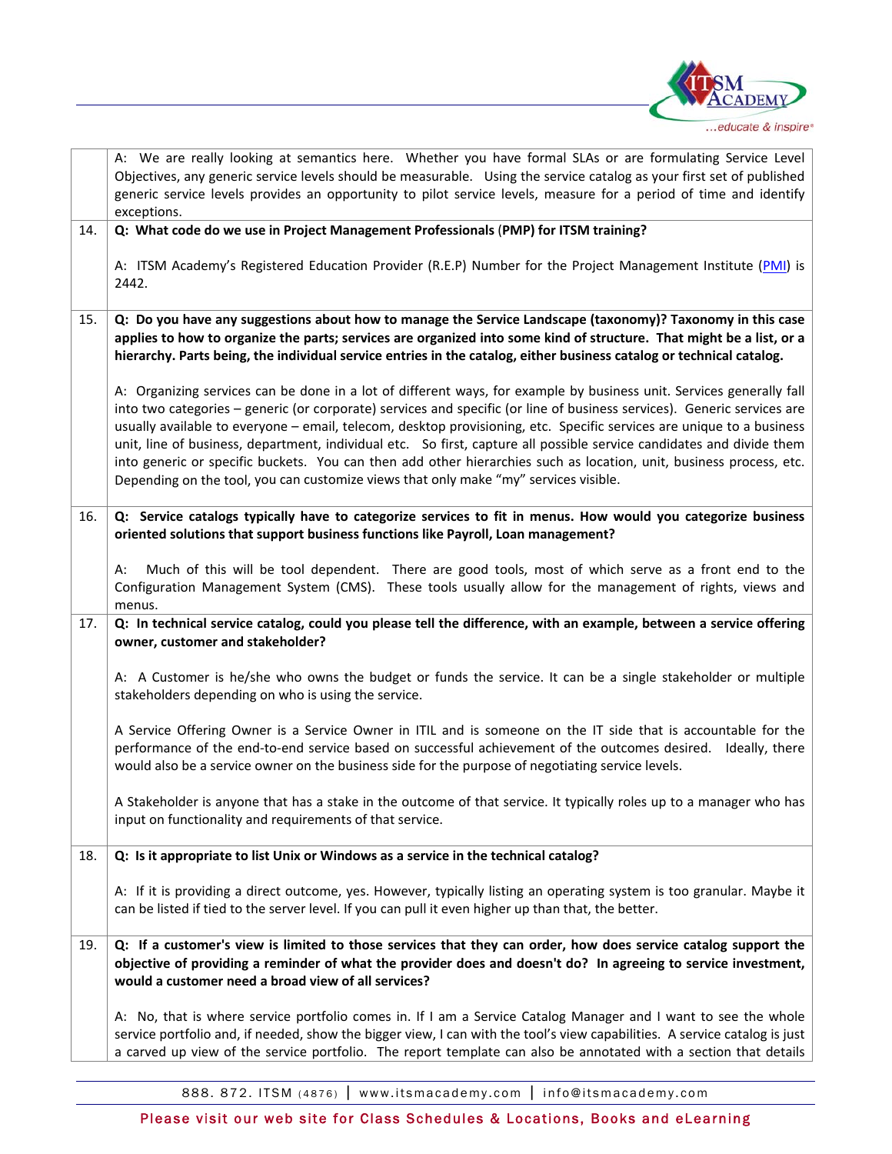

|     | A: We are really looking at semantics here. Whether you have formal SLAs or are formulating Service Level<br>Objectives, any generic service levels should be measurable. Using the service catalog as your first set of published<br>generic service levels provides an opportunity to pilot service levels, measure for a period of time and identify<br>exceptions.                                                                                                                                                                                                                                                                                                                                           |
|-----|------------------------------------------------------------------------------------------------------------------------------------------------------------------------------------------------------------------------------------------------------------------------------------------------------------------------------------------------------------------------------------------------------------------------------------------------------------------------------------------------------------------------------------------------------------------------------------------------------------------------------------------------------------------------------------------------------------------|
| 14. | Q: What code do we use in Project Management Professionals (PMP) for ITSM training?                                                                                                                                                                                                                                                                                                                                                                                                                                                                                                                                                                                                                              |
|     | A: ITSM Academy's Registered Education Provider (R.E.P) Number for the Project Management Institute (PMI) is<br>2442.                                                                                                                                                                                                                                                                                                                                                                                                                                                                                                                                                                                            |
| 15. | Q: Do you have any suggestions about how to manage the Service Landscape (taxonomy)? Taxonomy in this case<br>applies to how to organize the parts; services are organized into some kind of structure. That might be a list, or a<br>hierarchy. Parts being, the individual service entries in the catalog, either business catalog or technical catalog.                                                                                                                                                                                                                                                                                                                                                       |
|     | A: Organizing services can be done in a lot of different ways, for example by business unit. Services generally fall<br>into two categories - generic (or corporate) services and specific (or line of business services). Generic services are<br>usually available to everyone - email, telecom, desktop provisioning, etc. Specific services are unique to a business<br>unit, line of business, department, individual etc. So first, capture all possible service candidates and divide them<br>into generic or specific buckets. You can then add other hierarchies such as location, unit, business process, etc.<br>Depending on the tool, you can customize views that only make "my" services visible. |
| 16. | Q: Service catalogs typically have to categorize services to fit in menus. How would you categorize business<br>oriented solutions that support business functions like Payroll, Loan management?                                                                                                                                                                                                                                                                                                                                                                                                                                                                                                                |
|     | Much of this will be tool dependent. There are good tools, most of which serve as a front end to the<br>А:<br>Configuration Management System (CMS). These tools usually allow for the management of rights, views and<br>menus.                                                                                                                                                                                                                                                                                                                                                                                                                                                                                 |
| 17. | Q: In technical service catalog, could you please tell the difference, with an example, between a service offering<br>owner, customer and stakeholder?                                                                                                                                                                                                                                                                                                                                                                                                                                                                                                                                                           |
|     | A: A Customer is he/she who owns the budget or funds the service. It can be a single stakeholder or multiple<br>stakeholders depending on who is using the service.                                                                                                                                                                                                                                                                                                                                                                                                                                                                                                                                              |
|     | A Service Offering Owner is a Service Owner in ITIL and is someone on the IT side that is accountable for the<br>performance of the end-to-end service based on successful achievement of the outcomes desired. Ideally, there<br>would also be a service owner on the business side for the purpose of negotiating service levels.                                                                                                                                                                                                                                                                                                                                                                              |
|     | A Stakeholder is anyone that has a stake in the outcome of that service. It typically roles up to a manager who has<br>input on functionality and requirements of that service.                                                                                                                                                                                                                                                                                                                                                                                                                                                                                                                                  |
| 18. | Q: Is it appropriate to list Unix or Windows as a service in the technical catalog?                                                                                                                                                                                                                                                                                                                                                                                                                                                                                                                                                                                                                              |
|     | A: If it is providing a direct outcome, yes. However, typically listing an operating system is too granular. Maybe it<br>can be listed if tied to the server level. If you can pull it even higher up than that, the better.                                                                                                                                                                                                                                                                                                                                                                                                                                                                                     |
| 19. | Q: If a customer's view is limited to those services that they can order, how does service catalog support the<br>objective of providing a reminder of what the provider does and doesn't do? In agreeing to service investment,<br>would a customer need a broad view of all services?                                                                                                                                                                                                                                                                                                                                                                                                                          |
|     | A: No, that is where service portfolio comes in. If I am a Service Catalog Manager and I want to see the whole<br>service portfolio and, if needed, show the bigger view, I can with the tool's view capabilities. A service catalog is just<br>a carved up view of the service portfolio. The report template can also be annotated with a section that details                                                                                                                                                                                                                                                                                                                                                 |